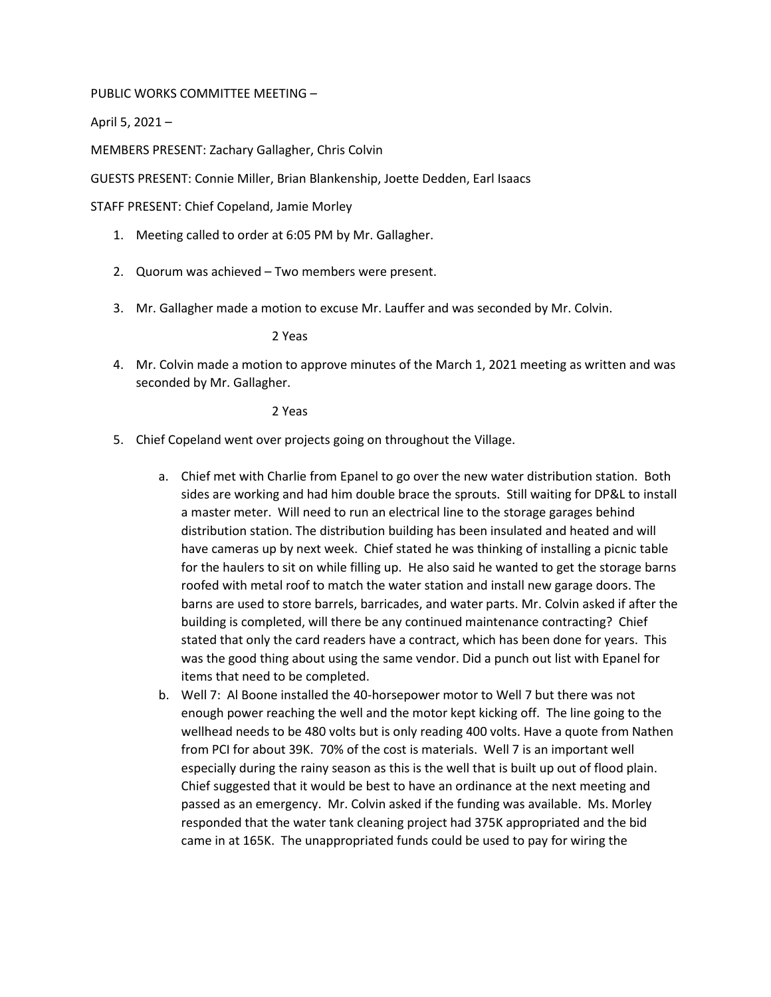PUBLIC WORKS COMMITTEE MEETING –

April 5, 2021 –

MEMBERS PRESENT: Zachary Gallagher, Chris Colvin

GUESTS PRESENT: Connie Miller, Brian Blankenship, Joette Dedden, Earl Isaacs

STAFF PRESENT: Chief Copeland, Jamie Morley

- 1. Meeting called to order at 6:05 PM by Mr. Gallagher.
- 2. Quorum was achieved Two members were present.
- 3. Mr. Gallagher made a motion to excuse Mr. Lauffer and was seconded by Mr. Colvin.

2 Yeas

4. Mr. Colvin made a motion to approve minutes of the March 1, 2021 meeting as written and was seconded by Mr. Gallagher.

2 Yeas

- 5. Chief Copeland went over projects going on throughout the Village.
	- a. Chief met with Charlie from Epanel to go over the new water distribution station. Both sides are working and had him double brace the sprouts. Still waiting for DP&L to install a master meter. Will need to run an electrical line to the storage garages behind distribution station. The distribution building has been insulated and heated and will have cameras up by next week. Chief stated he was thinking of installing a picnic table for the haulers to sit on while filling up. He also said he wanted to get the storage barns roofed with metal roof to match the water station and install new garage doors. The barns are used to store barrels, barricades, and water parts. Mr. Colvin asked if after the building is completed, will there be any continued maintenance contracting? Chief stated that only the card readers have a contract, which has been done for years. This was the good thing about using the same vendor. Did a punch out list with Epanel for items that need to be completed.
	- b. Well 7: Al Boone installed the 40-horsepower motor to Well 7 but there was not enough power reaching the well and the motor kept kicking off. The line going to the wellhead needs to be 480 volts but is only reading 400 volts. Have a quote from Nathen from PCI for about 39K. 70% of the cost is materials. Well 7 is an important well especially during the rainy season as this is the well that is built up out of flood plain. Chief suggested that it would be best to have an ordinance at the next meeting and passed as an emergency. Mr. Colvin asked if the funding was available. Ms. Morley responded that the water tank cleaning project had 375K appropriated and the bid came in at 165K. The unappropriated funds could be used to pay for wiring the